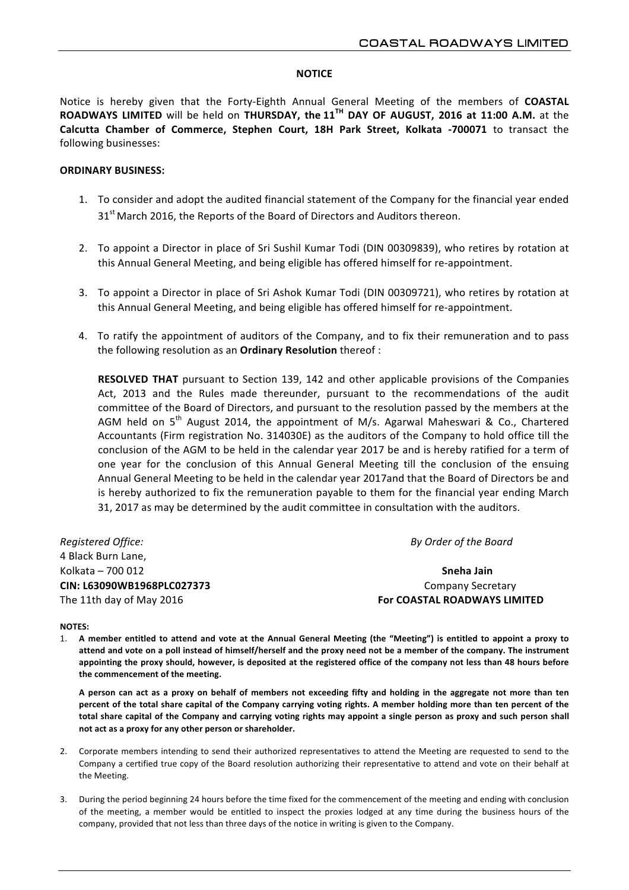## **NOTICE**

Notice is hereby given that the Forty-Eighth Annual General Meeting of the members of COASTAL **ROADWAYS LIMITED** will be held on **THURSDAY, the 11<sup>TH</sup> DAY OF AUGUST, 2016 at 11:00 A.M.** at the **Calcutta Chamber of Commerce, Stephen Court, 18H Park Street, Kolkata -700071** to transact the following businesses:

# **ORDINARY BUSINESS:**

- 1. To consider and adopt the audited financial statement of the Company for the financial year ended  $31<sup>st</sup>$  March 2016, the Reports of the Board of Directors and Auditors thereon.
- 2. To appoint a Director in place of Sri Sushil Kumar Todi (DIN 00309839), who retires by rotation at this Annual General Meeting, and being eligible has offered himself for re-appointment.
- 3. To appoint a Director in place of Sri Ashok Kumar Todi (DIN 00309721), who retires by rotation at this Annual General Meeting, and being eligible has offered himself for re-appointment.
- 4. To ratify the appointment of auditors of the Company, and to fix their remuneration and to pass the following resolution as an **Ordinary Resolution** thereof :

**RESOLVED THAT** pursuant to Section 139, 142 and other applicable provisions of the Companies Act, 2013 and the Rules made thereunder, pursuant to the recommendations of the audit committee of the Board of Directors, and pursuant to the resolution passed by the members at the AGM held on  $5<sup>th</sup>$  August 2014, the appointment of M/s. Agarwal Maheswari & Co., Chartered Accountants (Firm registration No. 314030E) as the auditors of the Company to hold office till the conclusion of the AGM to be held in the calendar year 2017 be and is hereby ratified for a term of one year for the conclusion of this Annual General Meeting till the conclusion of the ensuing Annual General Meeting to be held in the calendar year 2017and that the Board of Directors be and is hereby authorized to fix the remuneration payable to them for the financial year ending March 31, 2017 as may be determined by the audit committee in consultation with the auditors.

*Registered Office: By Order of the Board* 4 Black Burn Lane. Kolkata – 700 012 **Sneha Jain CIN: L63090WB1968PLC027373**  Company Secretary The 11th day of May 2016 **For COASTAL ROADWAYS LIMITED**

## **NOTES:**

1. A member entitled to attend and vote at the Annual General Meeting (the "Meeting") is entitled to appoint a proxy to attend and vote on a poll instead of himself/herself and the proxy need not be a member of the company. The instrument appointing the proxy should, however, is deposited at the registered office of the company not less than 48 hours before the commencement of the meeting.

A person can act as a proxy on behalf of members not exceeding fifty and holding in the aggregate not more than ten percent of the total share capital of the Company carrying voting rights. A member holding more than ten percent of the total share capital of the Company and carrying voting rights may appoint a single person as proxy and such person shall not act as a proxy for any other person or shareholder.

- 2. Corporate members intending to send their authorized representatives to attend the Meeting are requested to send to the Company a certified true copy of the Board resolution authorizing their representative to attend and vote on their behalf at the Meeting.
- 3. During the period beginning 24 hours before the time fixed for the commencement of the meeting and ending with conclusion of the meeting, a member would be entitled to inspect the proxies lodged at any time during the business hours of the company, provided that not less than three days of the notice in writing is given to the Company.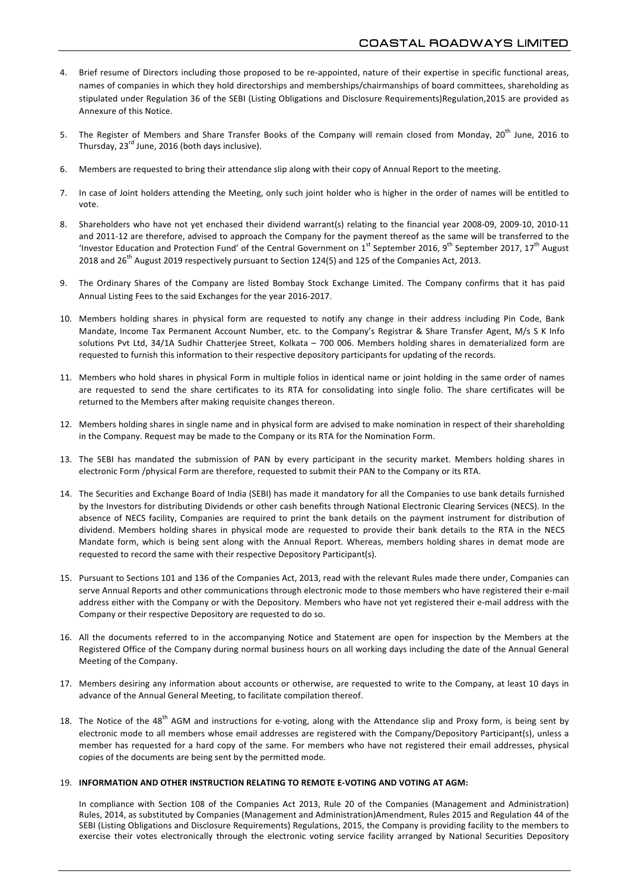- 4. Brief resume of Directors including those proposed to be re-appointed, nature of their expertise in specific functional areas, names of companies in which they hold directorships and memberships/chairmanships of board committees, shareholding as stipulated under Regulation 36 of the SEBI (Listing Obligations and Disclosure Requirements)Regulation,2015 are provided as Annexure of this Notice
- 5. The Register of Members and Share Transfer Books of the Company will remain closed from Monday, 20<sup>th</sup> June, 2016 to Thursday,  $23^{rd}$  June, 2016 (both days inclusive).
- 6. Members are requested to bring their attendance slip along with their copy of Annual Report to the meeting.
- 7. In case of Joint holders attending the Meeting, only such joint holder who is higher in the order of names will be entitled to vote.
- 8. Shareholders who have not yet enchased their dividend warrant(s) relating to the financial year 2008-09, 2009-10, 2010-11 and 2011-12 are therefore, advised to approach the Company for the payment thereof as the same will be transferred to the 'Investor Education and Protection Fund' of the Central Government on  $1^{st}$  September 2016, 9<sup>th</sup> September 2017, 17<sup>th</sup> August 2018 and 26<sup>th</sup> August 2019 respectively pursuant to Section 124(5) and 125 of the Companies Act, 2013.
- 9. The Ordinary Shares of the Company are listed Bombay Stock Exchange Limited. The Company confirms that it has paid Annual Listing Fees to the said Exchanges for the year 2016-2017.
- 10. Members holding shares in physical form are requested to notify any change in their address including Pin Code, Bank Mandate, Income Tax Permanent Account Number, etc. to the Company's Registrar & Share Transfer Agent, M/s S K Info solutions Pvt Ltd, 34/1A Sudhir Chatterjee Street, Kolkata - 700 006. Members holding shares in dematerialized form are requested to furnish this information to their respective depository participants for updating of the records.
- 11. Members who hold shares in physical Form in multiple folios in identical name or ioint holding in the same order of names are requested to send the share certificates to its RTA for consolidating into single folio. The share certificates will be returned to the Members after making requisite changes thereon.
- 12. Members holding shares in single name and in physical form are advised to make nomination in respect of their shareholding in the Company. Request may be made to the Company or its RTA for the Nomination Form.
- 13. The SEBI has mandated the submission of PAN by every participant in the security market. Members holding shares in electronic Form /physical Form are therefore, requested to submit their PAN to the Company or its RTA.
- 14. The Securities and Exchange Board of India (SEBI) has made it mandatory for all the Companies to use bank details furnished by the Investors for distributing Dividends or other cash benefits through National Electronic Clearing Services (NECS). In the absence of NECS facility, Companies are required to print the bank details on the payment instrument for distribution of dividend. Members holding shares in physical mode are requested to provide their bank details to the RTA in the NECS Mandate form, which is being sent along with the Annual Report. Whereas, members holding shares in demat mode are requested to record the same with their respective Depository Participant(s).
- 15. Pursuant to Sections 101 and 136 of the Companies Act, 2013, read with the relevant Rules made there under, Companies can serve Annual Reports and other communications through electronic mode to those members who have registered their e-mail address either with the Company or with the Depository. Members who have not yet registered their e-mail address with the Company or their respective Depository are requested to do so.
- 16. All the documents referred to in the accompanying Notice and Statement are open for inspection by the Members at the Registered Office of the Company during normal business hours on all working days including the date of the Annual General Meeting of the Company.
- 17. Members desiring any information about accounts or otherwise, are requested to write to the Company, at least 10 days in advance of the Annual General Meeting, to facilitate compilation thereof.
- 18. The Notice of the  $48^{th}$  AGM and instructions for e-voting, along with the Attendance slip and Proxy form, is being sent by electronic mode to all members whose email addresses are registered with the Company/Depository Participant(s), unless a member has requested for a hard copy of the same. For members who have not registered their email addresses, physical copies of the documents are being sent by the permitted mode.

### 19. **INFORMATION AND OTHER INSTRUCTION RELATING TO REMOTE E-VOTING AND VOTING AT AGM:**

In compliance with Section 108 of the Companies Act 2013, Rule 20 of the Companies (Management and Administration) Rules, 2014, as substituted by Companies (Management and Administration)Amendment, Rules 2015 and Regulation 44 of the SEBI (Listing Obligations and Disclosure Requirements) Regulations, 2015, the Company is providing facility to the members to exercise their votes electronically through the electronic voting service facility arranged by National Securities Depository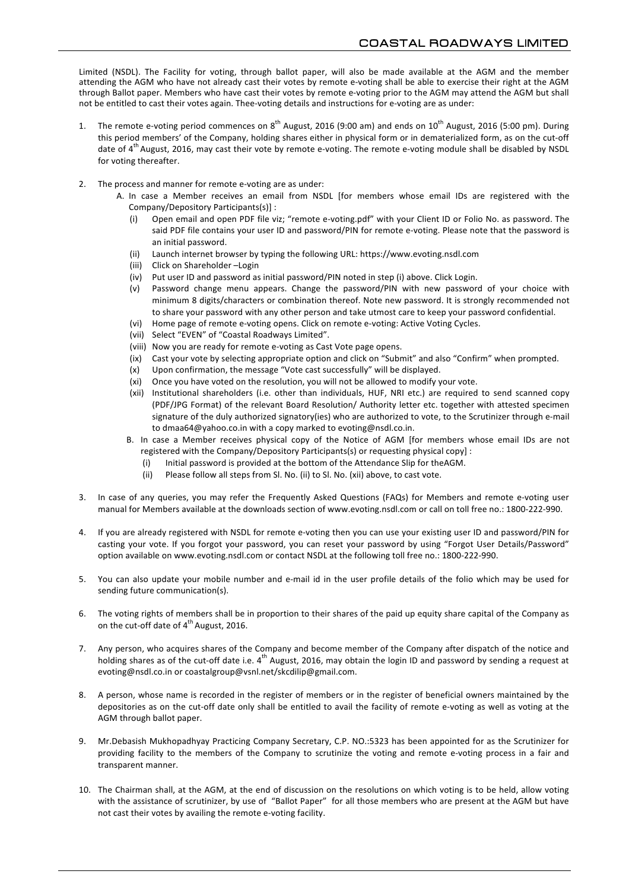Limited (NSDL). The Facility for voting, through ballot paper, will also be made available at the AGM and the member attending the AGM who have not already cast their votes by remote e-voting shall be able to exercise their right at the AGM through Ballot paper. Members who have cast their votes by remote e-voting prior to the AGM may attend the AGM but shall not be entitled to cast their votes again. Thee-voting details and instructions for e-voting are as under:

- 1. The remote e-voting period commences on  $8^{th}$  August, 2016 (9:00 am) and ends on  $10^{th}$  August, 2016 (5:00 pm). During this period members' of the Company, holding shares either in physical form or in dematerialized form, as on the cut-off date of 4<sup>th</sup> August, 2016, may cast their vote by remote e-voting. The remote e-voting module shall be disabled by NSDL for voting thereafter.
- 2. The process and manner for remote e-voting are as under:
	- A. In case a Member receives an email from NSDL [for members whose email IDs are registered with the Company/Depository Participants(s)] :
		- Open email and open PDF file viz; "remote e-voting.pdf" with your Client ID or Folio No. as password. The said PDF file contains your user ID and password/PIN for remote e-voting. Please note that the password is an initial password.
		- (ii) Launch internet browser by typing the following URL: https://www.evoting.nsdl.com
		- (iii) Click on Shareholder -Login
		- (iv) Put user ID and password as initial password/PIN noted in step (i) above. Click Login.
		- (v) Password change menu appears. Change the password/PIN with new password of your choice with minimum 8 digits/characters or combination thereof. Note new password. It is strongly recommended not to share your password with any other person and take utmost care to keep your password confidential.
		- (vi) Home page of remote e-voting opens. Click on remote e-voting: Active Voting Cycles.
		- (vii) Select "EVEN" of "Coastal Roadways Limited".
		- (viii) Now you are ready for remote e-voting as Cast Vote page opens.
		- (ix) Cast your vote by selecting appropriate option and click on "Submit" and also "Confirm" when prompted.
		- (x) Upon confirmation, the message "Vote cast successfully" will be displayed.
		- (xi) Once you have voted on the resolution, you will not be allowed to modify your vote.
		- (xii) Institutional shareholders (i.e. other than individuals, HUF, NRI etc.) are required to send scanned copy (PDF/JPG Format) of the relevant Board Resolution/ Authority letter etc. together with attested specimen signature of the duly authorized signatory(ies) who are authorized to vote, to the Scrutinizer through e-mail to dmaa64@yahoo.co.in with a copy marked to evoting@nsdl.co.in.
		- B. In case a Member receives physical copy of the Notice of AGM [for members whose email IDs are not registered with the Company/Depository Participants(s) or requesting physical copy] :
			- (i) Initial password is provided at the bottom of the Attendance Slip for theAGM.
			- (ii) Please follow all steps from Sl. No. (ii) to Sl. No. (xii) above, to cast vote.
- 3. In case of any queries, you may refer the Frequently Asked Questions (FAQs) for Members and remote e-voting user manual for Members available at the downloads section of www.evoting.nsdl.com or call on toll free no.: 1800-222-990.
- 4. If you are already registered with NSDL for remote e-voting then you can use your existing user ID and password/PIN for casting your vote. If you forgot your password, you can reset your password by using "Forgot User Details/Password" option available on www.evoting.nsdl.com or contact NSDL at the following toll free no.: 1800-222-990.
- 5. You can also update your mobile number and e-mail id in the user profile details of the folio which may be used for sending future communication(s).
- 6. The voting rights of members shall be in proportion to their shares of the paid up equity share capital of the Company as on the cut-off date of  $4^{th}$  August, 2016.
- 7. Any person, who acquires shares of the Company and become member of the Company after dispatch of the notice and holding shares as of the cut-off date i.e.  $4^{th}$  August, 2016, may obtain the login ID and password by sending a request at evoting@nsdl.co.in or coastalgroup@vsnl.net/skcdilip@gmail.com.
- 8. A person, whose name is recorded in the register of members or in the register of beneficial owners maintained by the depositories as on the cut-off date only shall be entitled to avail the facility of remote e-voting as well as voting at the AGM through ballot paper.
- 9. Mr.Debasish Mukhopadhyay Practicing Company Secretary, C.P. NO.:5323 has been appointed for as the Scrutinizer for providing facility to the members of the Company to scrutinize the voting and remote e-voting process in a fair and transparent manner.
- 10. The Chairman shall, at the AGM, at the end of discussion on the resolutions on which voting is to be held, allow voting with the assistance of scrutinizer, by use of "Ballot Paper" for all those members who are present at the AGM but have not cast their votes by availing the remote e-voting facility.